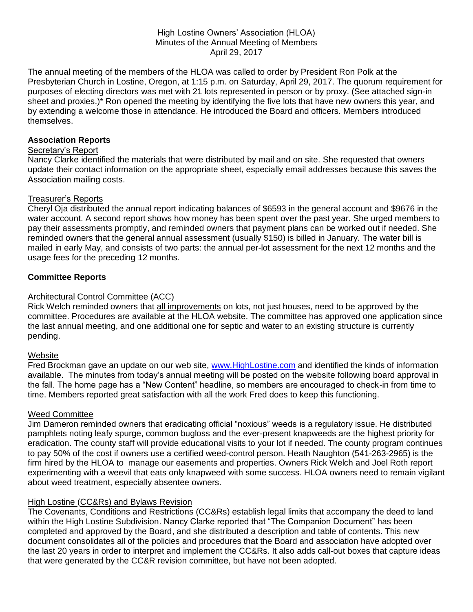#### High Lostine Owners' Association (HLOA) Minutes of the Annual Meeting of Members April 29, 2017

The annual meeting of the members of the HLOA was called to order by President Ron Polk at the Presbyterian Church in Lostine, Oregon, at 1:15 p.m. on Saturday, April 29, 2017. The quorum requirement for purposes of electing directors was met with 21 lots represented in person or by proxy. (See attached sign-in sheet and proxies.)\* Ron opened the meeting by identifying the five lots that have new owners this year, and by extending a welcome those in attendance. He introduced the Board and officers. Members introduced themselves.

### **Association Reports**

### Secretary's Report

Nancy Clarke identified the materials that were distributed by mail and on site. She requested that owners update their contact information on the appropriate sheet, especially email addresses because this saves the Association mailing costs.

### Treasurer's Reports

Cheryl Oja distributed the annual report indicating balances of \$6593 in the general account and \$9676 in the water account. A second report shows how money has been spent over the past year. She urged members to pay their assessments promptly, and reminded owners that payment plans can be worked out if needed. She reminded owners that the general annual assessment (usually \$150) is billed in January. The water bill is mailed in early May, and consists of two parts: the annual per-lot assessment for the next 12 months and the usage fees for the preceding 12 months.

# **Committee Reports**

# Architectural Control Committee (ACC)

Rick Welch reminded owners that all improvements on lots, not just houses, need to be approved by the committee. Procedures are available at the HLOA website. The committee has approved one application since the last annual meeting, and one additional one for septic and water to an existing structure is currently pending.

### **Website**

Fred Brockman gave an update on our web site, [www.HighLostine.com](http://www.highlostine.com/) and identified the kinds of information available. The minutes from today's annual meeting will be posted on the website following board approval in the fall. The home page has a "New Content" headline, so members are encouraged to check-in from time to time. Members reported great satisfaction with all the work Fred does to keep this functioning.

### Weed Committee

Jim Dameron reminded owners that eradicating official "noxious" weeds is a regulatory issue. He distributed pamphlets noting leafy spurge, common bugloss and the ever-present knapweeds are the highest priority for eradication. The county staff will provide educational visits to your lot if needed. The county program continues to pay 50% of the cost if owners use a certified weed-control person. Heath Naughton (541-263-2965) is the firm hired by the HLOA to manage our easements and properties. Owners Rick Welch and Joel Roth report experimenting with a weevil that eats only knapweed with some success. HLOA owners need to remain vigilant about weed treatment, especially absentee owners.

# High Lostine (CC&Rs) and Bylaws Revision

The Covenants, Conditions and Restrictions (CC&Rs) establish legal limits that accompany the deed to land within the High Lostine Subdivision. Nancy Clarke reported that "The Companion Document" has been completed and approved by the Board, and she distributed a description and table of contents. This new document consolidates all of the policies and procedures that the Board and association have adopted over the last 20 years in order to interpret and implement the CC&Rs. It also adds call-out boxes that capture ideas that were generated by the CC&R revision committee, but have not been adopted.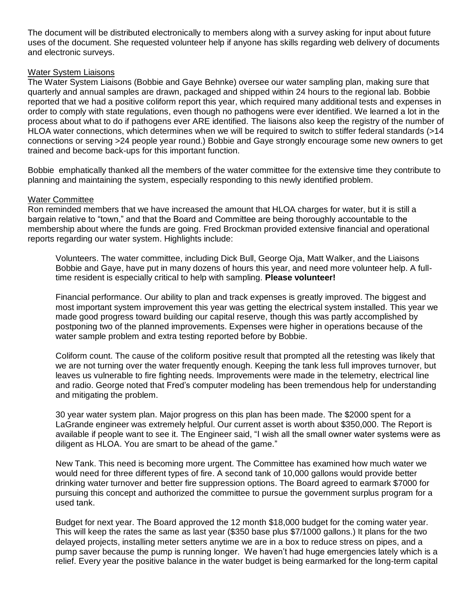The document will be distributed electronically to members along with a survey asking for input about future uses of the document. She requested volunteer help if anyone has skills regarding web delivery of documents and electronic surveys.

#### Water System Liaisons

The Water System Liaisons (Bobbie and Gaye Behnke) oversee our water sampling plan, making sure that quarterly and annual samples are drawn, packaged and shipped within 24 hours to the regional lab. Bobbie reported that we had a positive coliform report this year, which required many additional tests and expenses in order to comply with state regulations, even though no pathogens were ever identified. We learned a lot in the process about what to do if pathogens ever ARE identified. The liaisons also keep the registry of the number of HLOA water connections, which determines when we will be required to switch to stiffer federal standards (>14 connections or serving >24 people year round.) Bobbie and Gaye strongly encourage some new owners to get trained and become back-ups for this important function.

Bobbie emphatically thanked all the members of the water committee for the extensive time they contribute to planning and maintaining the system, especially responding to this newly identified problem.

#### Water Committee

Ron reminded members that we have increased the amount that HLOA charges for water, but it is still a bargain relative to "town," and that the Board and Committee are being thoroughly accountable to the membership about where the funds are going. Fred Brockman provided extensive financial and operational reports regarding our water system. Highlights include:

Volunteers. The water committee, including Dick Bull, George Oja, Matt Walker, and the Liaisons Bobbie and Gaye, have put in many dozens of hours this year, and need more volunteer help. A fulltime resident is especially critical to help with sampling. **Please volunteer!**

Financial performance. Our ability to plan and track expenses is greatly improved. The biggest and most important system improvement this year was getting the electrical system installed. This year we made good progress toward building our capital reserve, though this was partly accomplished by postponing two of the planned improvements. Expenses were higher in operations because of the water sample problem and extra testing reported before by Bobbie.

Coliform count. The cause of the coliform positive result that prompted all the retesting was likely that we are not turning over the water frequently enough. Keeping the tank less full improves turnover, but leaves us vulnerable to fire fighting needs. Improvements were made in the telemetry, electrical line and radio. George noted that Fred's computer modeling has been tremendous help for understanding and mitigating the problem.

30 year water system plan. Major progress on this plan has been made. The \$2000 spent for a LaGrande engineer was extremely helpful. Our current asset is worth about \$350,000. The Report is available if people want to see it. The Engineer said, "I wish all the small owner water systems were as diligent as HLOA. You are smart to be ahead of the game."

New Tank. This need is becoming more urgent. The Committee has examined how much water we would need for three different types of fire. A second tank of 10,000 gallons would provide better drinking water turnover and better fire suppression options. The Board agreed to earmark \$7000 for pursuing this concept and authorized the committee to pursue the government surplus program for a used tank.

Budget for next year. The Board approved the 12 month \$18,000 budget for the coming water year. This will keep the rates the same as last year (\$350 base plus \$7/1000 gallons.) It plans for the two delayed projects, installing meter setters anytime we are in a box to reduce stress on pipes, and a pump saver because the pump is running longer. We haven't had huge emergencies lately which is a relief. Every year the positive balance in the water budget is being earmarked for the long-term capital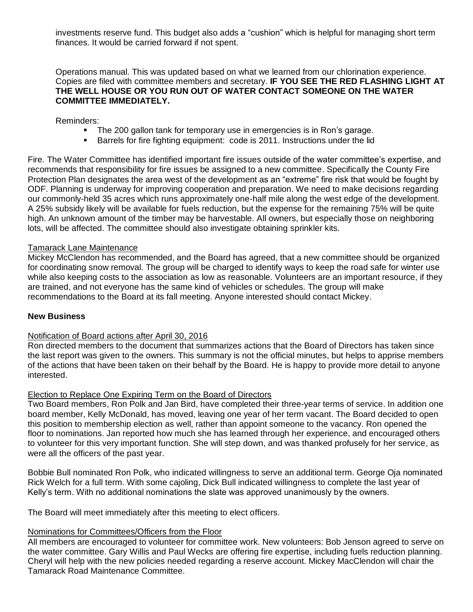investments reserve fund. This budget also adds a "cushion" which is helpful for managing short term finances. It would be carried forward if not spent.

Operations manual. This was updated based on what we learned from our chlorination experience. Copies are filed with committee members and secretary. **IF YOU SEE THE RED FLASHING LIGHT AT THE WELL HOUSE OR YOU RUN OUT OF WATER CONTACT SOMEONE ON THE WATER COMMITTEE IMMEDIATELY.** 

Reminders:

- The 200 gallon tank for temporary use in emergencies is in Ron's garage.
- **Barrels for fire fighting equipment: code is 2011. Instructions under the lid**

Fire. The Water Committee has identified important fire issues outside of the water committee's expertise, and recommends that responsibility for fire issues be assigned to a new committee. Specifically the County Fire Protection Plan designates the area west of the development as an "extreme" fire risk that would be fought by ODF. Planning is underway for improving cooperation and preparation. We need to make decisions regarding our commonly-held 35 acres which runs approximately one-half mile along the west edge of the development. A 25% subsidy likely will be available for fuels reduction, but the expense for the remaining 75% will be quite high. An unknown amount of the timber may be harvestable. All owners, but especially those on neighboring lots, will be affected. The committee should also investigate obtaining sprinkler kits.

#### Tamarack Lane Maintenance

Mickey McClendon has recommended, and the Board has agreed, that a new committee should be organized for coordinating snow removal. The group will be charged to identify ways to keep the road safe for winter use while also keeping costs to the association as low as reasonable. Volunteers are an important resource, if they are trained, and not everyone has the same kind of vehicles or schedules. The group will make recommendations to the Board at its fall meeting. Anyone interested should contact Mickey.

#### **New Business**

#### Notification of Board actions after April 30, 2016

Ron directed members to the document that summarizes actions that the Board of Directors has taken since the last report was given to the owners. This summary is not the official minutes, but helps to apprise members of the actions that have been taken on their behalf by the Board. He is happy to provide more detail to anyone interested.

#### Election to Replace One Expiring Term on the Board of Directors

Two Board members, Ron Polk and Jan Bird, have completed their three-year terms of service. In addition one board member, Kelly McDonald, has moved, leaving one year of her term vacant. The Board decided to open this position to membership election as well, rather than appoint someone to the vacancy. Ron opened the floor to nominations. Jan reported how much she has learned through her experience, and encouraged others to volunteer for this very important function. She will step down, and was thanked profusely for her service, as were all the officers of the past year.

Bobbie Bull nominated Ron Polk, who indicated willingness to serve an additional term. George Oja nominated Rick Welch for a full term. With some cajoling, Dick Bull indicated willingness to complete the last year of Kelly's term. With no additional nominations the slate was approved unanimously by the owners.

The Board will meet immediately after this meeting to elect officers.

#### Nominations for Committees/Officers from the Floor

All members are encouraged to volunteer for committee work. New volunteers: Bob Jenson agreed to serve on the water committee. Gary Willis and Paul Wecks are offering fire expertise, including fuels reduction planning. Cheryl will help with the new policies needed regarding a reserve account. Mickey MacClendon will chair the Tamarack Road Maintenance Committee.